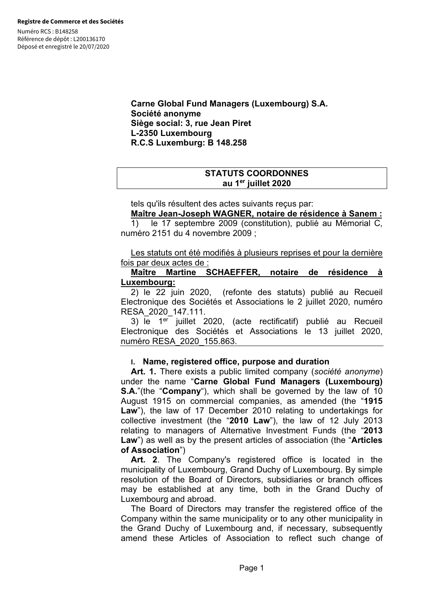Numéro RCS : B148258 Référence de dépôt : L200136170 Déposé et enregistré le 20/07/2020

> **Carne Global Fund Managers (Luxembourg) S.A. Société anonyme Siège social: 3, rue Jean Piret L-2350 Luxembourg R.C.S Luxemburg: B 148.258**

# **STATUTS COORDONNES au 1er juillet 2020**

tels qu'ils résultent des actes suivants reçus par:

## **Maître Jean-Joseph WAGNER, notaire de résidence à Sanem :**

1) le 17 septembre 2009 (constitution), publié au Mémorial C, numéro 2151 du 4 novembre 2009 ;

Les statuts ont été modifiés à plusieurs reprises et pour la dernière fois par deux actes de :

## **Maître Martine SCHAEFFER, notaire de résidence à Luxembourg:**

2) le 22 juin 2020, (refonte des statuts) publié au Recueil Electronique des Sociétés et Associations le 2 juillet 2020, numéro RESA\_2020\_147.111.

3) le 1<sup>er</sup> juillet 2020, (acte rectificatif) publié au Recueil Electronique des Sociétés et Associations le 13 juillet 2020, numéro RESA\_2020\_155.863.

## **I. Name, registered office, purpose and duration**

**Art. 1.** There exists a public limited company (*société anonyme*) under the name "**Carne Global Fund Managers (Luxembourg) S.A.**"(the "**Company**"), which shall be governed by the law of 10 August 1915 on commercial companies, as amended (the "**1915 Law**"), the law of 17 December 2010 relating to undertakings for collective investment (the "**2010 Law**"), the law of 12 July 2013 relating to managers of Alternative Investment Funds (the "**2013 Law**") as well as by the present articles of association (the "**Articles of Association**")

**Art. 2**. The Company's registered office is located in the municipality of Luxembourg, Grand Duchy of Luxembourg. By simple resolution of the Board of Directors, subsidiaries or branch offices may be established at any time, both in the Grand Duchy of Luxembourg and abroad.

The Board of Directors may transfer the registered office of the Company within the same municipality or to any other municipality in the Grand Duchy of Luxembourg and, if necessary, subsequently amend these Articles of Association to reflect such change of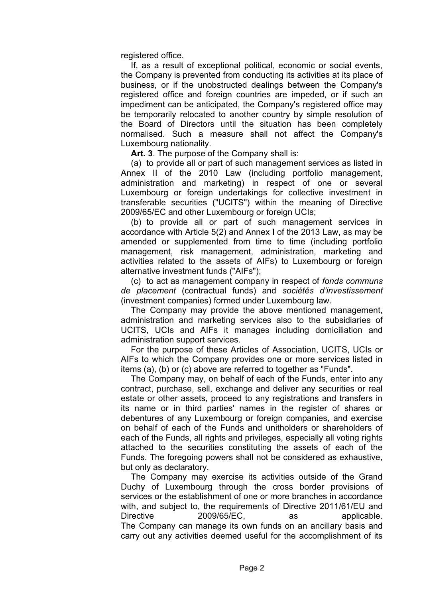registered office.

If, as a result of exceptional political, economic or social events, the Company is prevented from conducting its activities at its place of business, or if the unobstructed dealings between the Company's registered office and foreign countries are impeded, or if such an impediment can be anticipated, the Company's registered office may be temporarily relocated to another country by simple resolution of the Board of Directors until the situation has been completely normalised. Such a measure shall not affect the Company's Luxembourg nationality.

**Art. 3**. The purpose of the Company shall is:

(a) to provide all or part of such management services as listed in Annex II of the 2010 Law (including portfolio management, administration and marketing) in respect of one or several Luxembourg or foreign undertakings for collective investment in transferable securities ("UCITS") within the meaning of Directive 2009/65/EC and other Luxembourg or foreign UCIs;

(b) to provide all or part of such management services in accordance with Article 5(2) and Annex I of the 2013 Law, as may be amended or supplemented from time to time (including portfolio management, risk management, administration, marketing and activities related to the assets of AIFs) to Luxembourg or foreign alternative investment funds ("AIFs");

(c) to act as management company in respect of *fonds communs de placement* (contractual funds) and *sociétés d'investissement* (investment companies) formed under Luxembourg law.

The Company may provide the above mentioned management, administration and marketing services also to the subsidiaries of UCITS, UCIs and AIFs it manages including domiciliation and administration support services.

For the purpose of these Articles of Association, UCITS, UCIs or AIFs to which the Company provides one or more services listed in items (a), (b) or (c) above are referred to together as "Funds".

The Company may, on behalf of each of the Funds, enter into any contract, purchase, sell, exchange and deliver any securities or real estate or other assets, proceed to any registrations and transfers in its name or in third parties' names in the register of shares or debentures of any Luxembourg or foreign companies, and exercise on behalf of each of the Funds and unitholders or shareholders of each of the Funds, all rights and privileges, especially all voting rights attached to the securities constituting the assets of each of the Funds. The foregoing powers shall not be considered as exhaustive, but only as declaratory.

The Company may exercise its activities outside of the Grand Duchy of Luxembourg through the cross border provisions of services or the establishment of one or more branches in accordance with, and subject to, the requirements of Directive 2011/61/EU and Directive 2009/65/EC, as applicable. The Company can manage its own funds on an ancillary basis and carry out any activities deemed useful for the accomplishment of its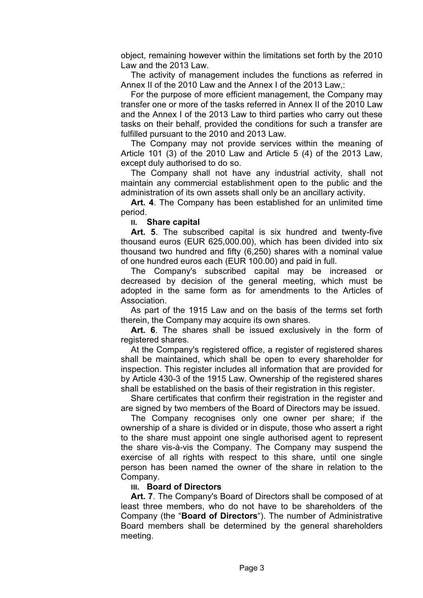object, remaining however within the limitations set forth by the 2010 Law and the 2013 Law.

The activity of management includes the functions as referred in Annex II of the 2010 Law and the Annex I of the 2013 Law,:

For the purpose of more efficient management, the Company may transfer one or more of the tasks referred in Annex II of the 2010 Law and the Annex I of the 2013 Law to third parties who carry out these tasks on their behalf, provided the conditions for such a transfer are fulfilled pursuant to the 2010 and 2013 Law.

The Company may not provide services within the meaning of Article 101 (3) of the 2010 Law and Article 5 (4) of the 2013 Law, except duly authorised to do so.

The Company shall not have any industrial activity, shall not maintain any commercial establishment open to the public and the administration of its own assets shall only be an ancillary activity.

**Art. 4**. The Company has been established for an unlimited time period.

**II. Share capital**

**Art. 5**. The subscribed capital is six hundred and twenty-five thousand euros (EUR 625,000.00), which has been divided into six thousand two hundred and fifty (6,250) shares with a nominal value of one hundred euros each (EUR 100.00) and paid in full.

The Company's subscribed capital may be increased or decreased by decision of the general meeting, which must be adopted in the same form as for amendments to the Articles of Association.

As part of the 1915 Law and on the basis of the terms set forth therein, the Company may acquire its own shares.

**Art. 6**. The shares shall be issued exclusively in the form of registered shares.

At the Company's registered office, a register of registered shares shall be maintained, which shall be open to every shareholder for inspection. This register includes all information that are provided for by Article 430-3 of the 1915 Law. Ownership of the registered shares shall be established on the basis of their registration in this register.

Share certificates that confirm their registration in the register and are signed by two members of the Board of Directors may be issued.

The Company recognises only one owner per share; if the ownership of a share is divided or in dispute, those who assert a right to the share must appoint one single authorised agent to represent the share vis-à-vis the Company. The Company may suspend the exercise of all rights with respect to this share, until one single person has been named the owner of the share in relation to the Company.

## **III. Board of Directors**

**Art. 7**. The Company's Board of Directors shall be composed of at least three members, who do not have to be shareholders of the Company (the "**Board of Directors**"). The number of Administrative Board members shall be determined by the general shareholders meeting.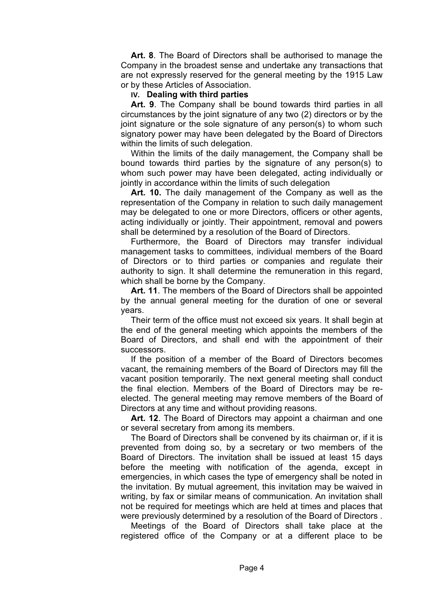**Art. 8**. The Board of Directors shall be authorised to manage the Company in the broadest sense and undertake any transactions that are not expressly reserved for the general meeting by the 1915 Law or by these Articles of Association.

## **IV. Dealing with third parties**

**Art. 9**. The Company shall be bound towards third parties in all circumstances by the joint signature of any two (2) directors or by the joint signature or the sole signature of any person(s) to whom such signatory power may have been delegated by the Board of Directors within the limits of such delegation.

Within the limits of the daily management, the Company shall be bound towards third parties by the signature of any person(s) to whom such power may have been delegated, acting individually or jointly in accordance within the limits of such delegation

**Art. 10.** The daily management of the Company as well as the representation of the Company in relation to such daily management may be delegated to one or more Directors, officers or other agents, acting individually or jointly. Their appointment, removal and powers shall be determined by a resolution of the Board of Directors.

Furthermore, the Board of Directors may transfer individual management tasks to committees, individual members of the Board of Directors or to third parties or companies and regulate their authority to sign. It shall determine the remuneration in this regard, which shall be borne by the Company.

**Art. 11**. The members of the Board of Directors shall be appointed by the annual general meeting for the duration of one or several years.

Their term of the office must not exceed six years. It shall begin at the end of the general meeting which appoints the members of the Board of Directors, and shall end with the appointment of their successors.

If the position of a member of the Board of Directors becomes vacant, the remaining members of the Board of Directors may fill the vacant position temporarily. The next general meeting shall conduct the final election. Members of the Board of Directors may be reelected. The general meeting may remove members of the Board of Directors at any time and without providing reasons.

**Art. 12**. The Board of Directors may appoint a chairman and one or several secretary from among its members.

The Board of Directors shall be convened by its chairman or, if it is prevented from doing so, by a secretary or two members of the Board of Directors. The invitation shall be issued at least 15 days before the meeting with notification of the agenda, except in emergencies, in which cases the type of emergency shall be noted in the invitation. By mutual agreement, this invitation may be waived in writing, by fax or similar means of communication. An invitation shall not be required for meetings which are held at times and places that were previously determined by a resolution of the Board of Directors .

Meetings of the Board of Directors shall take place at the registered office of the Company or at a different place to be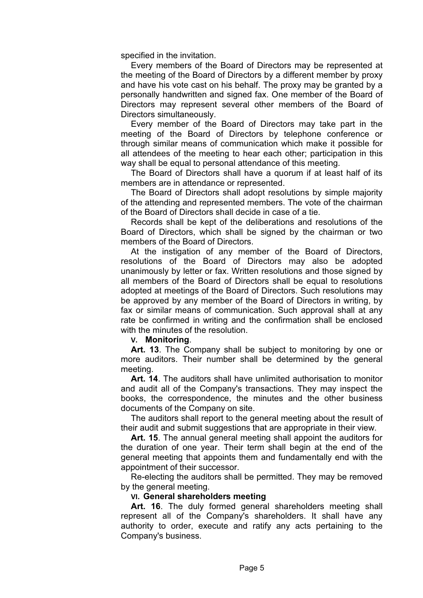specified in the invitation.

Every members of the Board of Directors may be represented at the meeting of the Board of Directors by a different member by proxy and have his vote cast on his behalf. The proxy may be granted by a personally handwritten and signed fax. One member of the Board of Directors may represent several other members of the Board of Directors simultaneously.

Every member of the Board of Directors may take part in the meeting of the Board of Directors by telephone conference or through similar means of communication which make it possible for all attendees of the meeting to hear each other; participation in this way shall be equal to personal attendance of this meeting.

The Board of Directors shall have a quorum if at least half of its members are in attendance or represented.

The Board of Directors shall adopt resolutions by simple majority of the attending and represented members. The vote of the chairman of the Board of Directors shall decide in case of a tie.

Records shall be kept of the deliberations and resolutions of the Board of Directors, which shall be signed by the chairman or two members of the Board of Directors.

At the instigation of any member of the Board of Directors, resolutions of the Board of Directors may also be adopted unanimously by letter or fax. Written resolutions and those signed by all members of the Board of Directors shall be equal to resolutions adopted at meetings of the Board of Directors. Such resolutions may be approved by any member of the Board of Directors in writing, by fax or similar means of communication. Such approval shall at any rate be confirmed in writing and the confirmation shall be enclosed with the minutes of the resolution.

**V. Monitoring**.

**Art. 13**. The Company shall be subject to monitoring by one or more auditors. Their number shall be determined by the general meeting.

**Art. 14**. The auditors shall have unlimited authorisation to monitor and audit all of the Company's transactions. They may inspect the books, the correspondence, the minutes and the other business documents of the Company on site.

The auditors shall report to the general meeting about the result of their audit and submit suggestions that are appropriate in their view.

**Art. 15**. The annual general meeting shall appoint the auditors for the duration of one year. Their term shall begin at the end of the general meeting that appoints them and fundamentally end with the appointment of their successor.

Re-electing the auditors shall be permitted. They may be removed by the general meeting.

## **VI. General shareholders meeting**

**Art. 16**. The duly formed general shareholders meeting shall represent all of the Company's shareholders. It shall have any authority to order, execute and ratify any acts pertaining to the Company's business.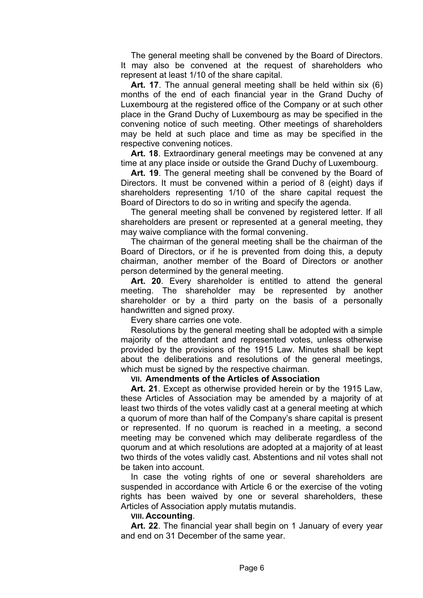The general meeting shall be convened by the Board of Directors. It may also be convened at the request of shareholders who represent at least 1/10 of the share capital.

**Art. 17**. The annual general meeting shall be held within six (6) months of the end of each financial year in the Grand Duchy of Luxembourg at the registered office of the Company or at such other place in the Grand Duchy of Luxembourg as may be specified in the convening notice of such meeting. Other meetings of shareholders may be held at such place and time as may be specified in the respective convening notices.

**Art. 18**. Extraordinary general meetings may be convened at any time at any place inside or outside the Grand Duchy of Luxembourg.

**Art. 19**. The general meeting shall be convened by the Board of Directors. It must be convened within a period of 8 (eight) days if shareholders representing 1/10 of the share capital request the Board of Directors to do so in writing and specify the agenda.

The general meeting shall be convened by registered letter. If all shareholders are present or represented at a general meeting, they may waive compliance with the formal convening.

The chairman of the general meeting shall be the chairman of the Board of Directors, or if he is prevented from doing this, a deputy chairman, another member of the Board of Directors or another person determined by the general meeting.

**Art. 20**. Every shareholder is entitled to attend the general meeting. The shareholder may be represented by another shareholder or by a third party on the basis of a personally handwritten and signed proxy.

Every share carries one vote.

Resolutions by the general meeting shall be adopted with a simple majority of the attendant and represented votes, unless otherwise provided by the provisions of the 1915 Law. Minutes shall be kept about the deliberations and resolutions of the general meetings, which must be signed by the respective chairman.

## **VII. Amendments of the Articles of Association**

**Art. 21**. Except as otherwise provided herein or by the 1915 Law, these Articles of Association may be amended by a majority of at least two thirds of the votes validly cast at a general meeting at which a quorum of more than half of the Company's share capital is present or represented. If no quorum is reached in a meeting, a second meeting may be convened which may deliberate regardless of the quorum and at which resolutions are adopted at a majority of at least two thirds of the votes validly cast. Abstentions and nil votes shall not be taken into account.

In case the voting rights of one or several shareholders are suspended in accordance with Article 6 or the exercise of the voting rights has been waived by one or several shareholders, these Articles of Association apply mutatis mutandis.

#### **VIII. Accounting**.

**Art. 22**. The financial year shall begin on 1 January of every year and end on 31 December of the same year.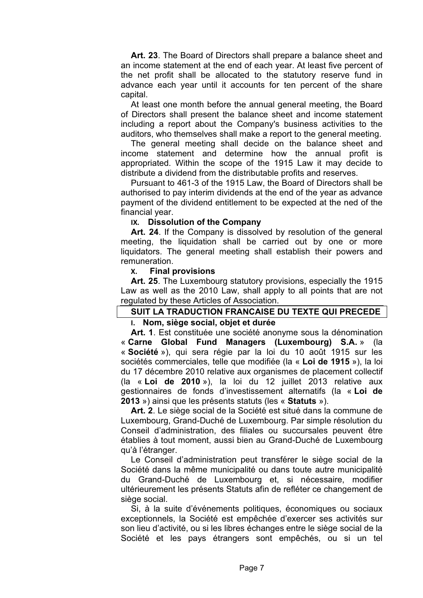**Art. 23**. The Board of Directors shall prepare a balance sheet and an income statement at the end of each year. At least five percent of the net profit shall be allocated to the statutory reserve fund in advance each year until it accounts for ten percent of the share capital.

At least one month before the annual general meeting, the Board of Directors shall present the balance sheet and income statement including a report about the Company's business activities to the auditors, who themselves shall make a report to the general meeting.

The general meeting shall decide on the balance sheet and income statement and determine how the annual profit is appropriated. Within the scope of the 1915 Law it may decide to distribute a dividend from the distributable profits and reserves.

Pursuant to 461-3 of the 1915 Law, the Board of Directors shall be authorised to pay interim dividends at the end of the year as advance payment of the dividend entitlement to be expected at the ned of the financial year.

## **IX. Dissolution of the Company**

**Art. 24**. If the Company is dissolved by resolution of the general meeting, the liquidation shall be carried out by one or more liquidators. The general meeting shall establish their powers and remuneration.

### **X. Final provisions**

**Art. 25**. The Luxembourg statutory provisions, especially the 1915 Law as well as the 2010 Law, shall apply to all points that are not regulated by these Articles of Association.

## **SUIT LA TRADUCTION FRANCAISE DU TEXTE QUI PRECEDE I. Nom, siège social, objet et durée**

**Art. 1**. Est constituée une société anonyme sous la dénomination « **Carne Global Fund Managers (Luxembourg) S.A.** » (la « **Société** »), qui sera régie par la loi du 10 août 1915 sur les sociétés commerciales, telle que modifiée (la « **Loi de 1915** »), la loi du 17 décembre 2010 relative aux organismes de placement collectif (la « **Loi de 2010** »), la loi du 12 juillet 2013 relative aux gestionnaires de fonds d'investissement alternatifs (la « **Loi de 2013** ») ainsi que les présents statuts (les « **Statuts** »).

**Art. 2**. Le siège social de la Société est situé dans la commune de Luxembourg, Grand-Duché de Luxembourg. Par simple résolution du Conseil d'administration, des filiales ou succursales peuvent être établies à tout moment, aussi bien au Grand-Duché de Luxembourg qu'à l'étranger.

Le Conseil d'administration peut transférer le siège social de la Société dans la même municipalité ou dans toute autre municipalité du Grand-Duché de Luxembourg et, si nécessaire, modifier ultérieurement les présents Statuts afin de refléter ce changement de siège social.

Si, à la suite d'événements politiques, économiques ou sociaux exceptionnels, la Société est empêchée d'exercer ses activités sur son lieu d'activité, ou si les libres échanges entre le siège social de la Société et les pays étrangers sont empêchés, ou si un tel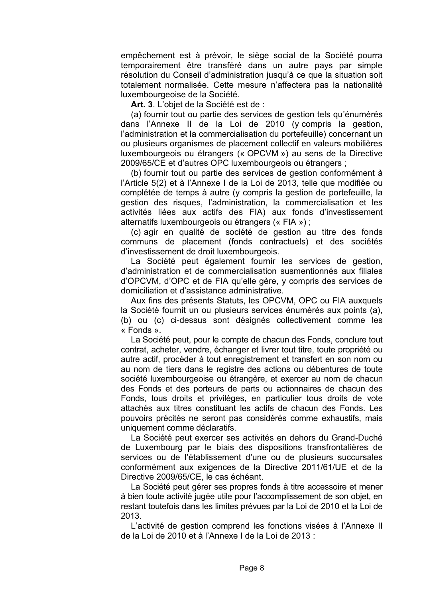empêchement est à prévoir, le siège social de la Société pourra temporairement être transféré dans un autre pays par simple résolution du Conseil d'administration jusqu'à ce que la situation soit totalement normalisée. Cette mesure n'affectera pas la nationalité luxembourgeoise de la Société.

**Art. 3**. L'objet de la Société est de :

(a) fournir tout ou partie des services de gestion tels qu'énumérés dans l'Annexe II de la Loi de 2010 (y compris la gestion, l'administration et la commercialisation du portefeuille) concernant un ou plusieurs organismes de placement collectif en valeurs mobilières luxembourgeois ou étrangers (« OPCVM ») au sens de la Directive 2009/65/CE et d'autres OPC luxembourgeois ou étrangers ;

(b) fournir tout ou partie des services de gestion conformément à l'Article 5(2) et à l'Annexe I de la Loi de 2013, telle que modifiée ou complétée de temps à autre (y compris la gestion de portefeuille, la gestion des risques, l'administration, la commercialisation et les activités liées aux actifs des FIA) aux fonds d'investissement alternatifs luxembourgeois ou étrangers (« FIA ») ;

(c) agir en qualité de société de gestion au titre des fonds communs de placement (fonds contractuels) et des sociétés d'investissement de droit luxembourgeois.

La Société peut également fournir les services de gestion, d'administration et de commercialisation susmentionnés aux filiales d'OPCVM, d'OPC et de FIA qu'elle gère, y compris des services de domiciliation et d'assistance administrative.

Aux fins des présents Statuts, les OPCVM, OPC ou FIA auxquels la Société fournit un ou plusieurs services énumérés aux points (a), (b) ou (c) ci-dessus sont désignés collectivement comme les « Fonds ».

La Société peut, pour le compte de chacun des Fonds, conclure tout contrat, acheter, vendre, échanger et livrer tout titre, toute propriété ou autre actif, procéder à tout enregistrement et transfert en son nom ou au nom de tiers dans le registre des actions ou débentures de toute société luxembourgeoise ou étrangère, et exercer au nom de chacun des Fonds et des porteurs de parts ou actionnaires de chacun des Fonds, tous droits et privilèges, en particulier tous droits de vote attachés aux titres constituant les actifs de chacun des Fonds. Les pouvoirs précités ne seront pas considérés comme exhaustifs, mais uniquement comme déclaratifs.

La Société peut exercer ses activités en dehors du Grand-Duché de Luxembourg par le biais des dispositions transfrontalières de services ou de l'établissement d'une ou de plusieurs succursales conformément aux exigences de la Directive 2011/61/UE et de la Directive 2009/65/CE, le cas échéant.

La Société peut gérer ses propres fonds à titre accessoire et mener à bien toute activité jugée utile pour l'accomplissement de son objet, en restant toutefois dans les limites prévues par la Loi de 2010 et la Loi de 2013.

L'activité de gestion comprend les fonctions visées à l'Annexe II de la Loi de 2010 et à l'Annexe I de la Loi de 2013 :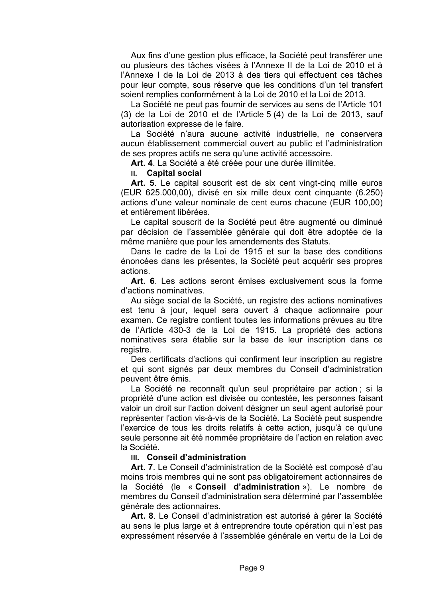Aux fins d'une gestion plus efficace, la Société peut transférer une ou plusieurs des tâches visées à l'Annexe II de la Loi de 2010 et à l'Annexe I de la Loi de 2013 à des tiers qui effectuent ces tâches pour leur compte, sous réserve que les conditions d'un tel transfert soient remplies conformément à la Loi de 2010 et la Loi de 2013.

La Société ne peut pas fournir de services au sens de l'Article 101 (3) de la Loi de 2010 et de l'Article 5 (4) de la Loi de 2013, sauf autorisation expresse de le faire.

La Société n'aura aucune activité industrielle, ne conservera aucun établissement commercial ouvert au public et l'administration de ses propres actifs ne sera qu'une activité accessoire.

**Art. 4**. La Société a été créée pour une durée illimitée.

**II. Capital social**

Art. 5. Le capital souscrit est de six cent vingt-cing mille euros (EUR 625.000,00), divisé en six mille deux cent cinquante (6.250) actions d'une valeur nominale de cent euros chacune (EUR 100,00) et entièrement libérées.

Le capital souscrit de la Société peut être augmenté ou diminué par décision de l'assemblée générale qui doit être adoptée de la même manière que pour les amendements des Statuts.

Dans le cadre de la Loi de 1915 et sur la base des conditions énoncées dans les présentes, la Société peut acquérir ses propres actions.

**Art. 6**. Les actions seront émises exclusivement sous la forme d'actions nominatives.

Au siège social de la Société, un registre des actions nominatives est tenu à jour, lequel sera ouvert à chaque actionnaire pour examen. Ce registre contient toutes les informations prévues au titre de l'Article 430-3 de la Loi de 1915. La propriété des actions nominatives sera établie sur la base de leur inscription dans ce registre.

Des certificats d'actions qui confirment leur inscription au registre et qui sont signés par deux membres du Conseil d'administration peuvent être émis.

La Société ne reconnaît qu'un seul propriétaire par action ; si la propriété d'une action est divisée ou contestée, les personnes faisant valoir un droit sur l'action doivent désigner un seul agent autorisé pour représenter l'action vis-à-vis de la Société. La Société peut suspendre l'exercice de tous les droits relatifs à cette action, jusqu'à ce qu'une seule personne ait été nommée propriétaire de l'action en relation avec la Société.

## **III. Conseil d'administration**

**Art. 7**. Le Conseil d'administration de la Société est composé d'au moins trois membres qui ne sont pas obligatoirement actionnaires de la Société (le « **Conseil d'administration** »). Le nombre de membres du Conseil d'administration sera déterminé par l'assemblée générale des actionnaires.

**Art. 8**. Le Conseil d'administration est autorisé à gérer la Société au sens le plus large et à entreprendre toute opération qui n'est pas expressément réservée à l'assemblée générale en vertu de la Loi de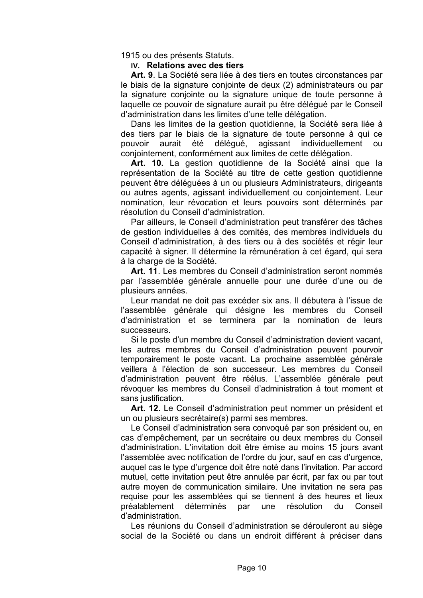1915 ou des présents Statuts.

## **IV. Relations avec des tiers**

**Art. 9**. La Société sera liée à des tiers en toutes circonstances par le biais de la signature conjointe de deux (2) administrateurs ou par la signature conjointe ou la signature unique de toute personne à laquelle ce pouvoir de signature aurait pu être délégué par le Conseil d'administration dans les limites d'une telle délégation.

Dans les limites de la gestion quotidienne, la Société sera liée à des tiers par le biais de la signature de toute personne à qui ce pouvoir aurait été délégué, agissant individuellement ou conjointement, conformément aux limites de cette délégation.

**Art. 10.** La gestion quotidienne de la Société ainsi que la représentation de la Société au titre de cette gestion quotidienne peuvent être déléguées à un ou plusieurs Administrateurs, dirigeants ou autres agents, agissant individuellement ou conjointement. Leur nomination, leur révocation et leurs pouvoirs sont déterminés par résolution du Conseil d'administration.

Par ailleurs, le Conseil d'administration peut transférer des tâches de gestion individuelles à des comités, des membres individuels du Conseil d'administration, à des tiers ou à des sociétés et régir leur capacité à signer. Il détermine la rémunération à cet égard, qui sera à la charge de la Société.

**Art. 11**. Les membres du Conseil d'administration seront nommés par l'assemblée générale annuelle pour une durée d'une ou de plusieurs années.

Leur mandat ne doit pas excéder six ans. Il débutera à l'issue de l'assemblée générale qui désigne les membres du Conseil d'administration et se terminera par la nomination de leurs successeurs.

Si le poste d'un membre du Conseil d'administration devient vacant, les autres membres du Conseil d'administration peuvent pourvoir temporairement le poste vacant. La prochaine assemblée générale veillera à l'élection de son successeur. Les membres du Conseil d'administration peuvent être réélus. L'assemblée générale peut révoquer les membres du Conseil d'administration à tout moment et sans justification.

**Art. 12**. Le Conseil d'administration peut nommer un président et un ou plusieurs secrétaire(s) parmi ses membres.

Le Conseil d'administration sera convoqué par son président ou, en cas d'empêchement, par un secrétaire ou deux membres du Conseil d'administration. L'invitation doit être émise au moins 15 jours avant l'assemblée avec notification de l'ordre du jour, sauf en cas d'urgence, auquel cas le type d'urgence doit être noté dans l'invitation. Par accord mutuel, cette invitation peut être annulée par écrit, par fax ou par tout autre moyen de communication similaire. Une invitation ne sera pas requise pour les assemblées qui se tiennent à des heures et lieux préalablement déterminés par une résolution du Conseil d'administration.

Les réunions du Conseil d'administration se dérouleront au siège social de la Société ou dans un endroit différent à préciser dans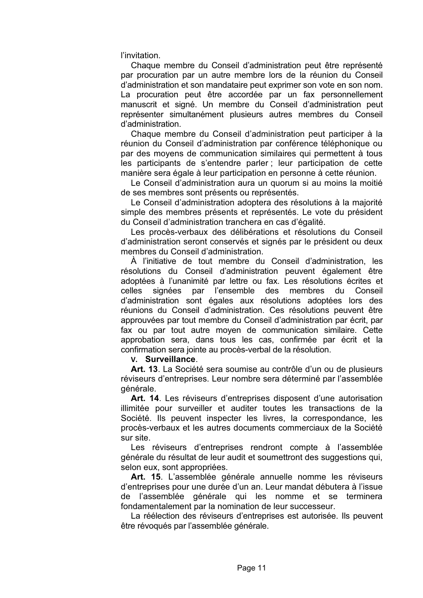l'invitation.

Chaque membre du Conseil d'administration peut être représenté par procuration par un autre membre lors de la réunion du Conseil d'administration et son mandataire peut exprimer son vote en son nom. La procuration peut être accordée par un fax personnellement manuscrit et signé. Un membre du Conseil d'administration peut représenter simultanément plusieurs autres membres du Conseil d'administration.

Chaque membre du Conseil d'administration peut participer à la réunion du Conseil d'administration par conférence téléphonique ou par des moyens de communication similaires qui permettent à tous les participants de s'entendre parler ; leur participation de cette manière sera égale à leur participation en personne à cette réunion.

Le Conseil d'administration aura un quorum si au moins la moitié de ses membres sont présents ou représentés.

Le Conseil d'administration adoptera des résolutions à la majorité simple des membres présents et représentés. Le vote du président du Conseil d'administration tranchera en cas d'égalité.

Les procès-verbaux des délibérations et résolutions du Conseil d'administration seront conservés et signés par le président ou deux membres du Conseil d'administration.

À l'initiative de tout membre du Conseil d'administration, les résolutions du Conseil d'administration peuvent également être adoptées à l'unanimité par lettre ou fax. Les résolutions écrites et celles signées par l'ensemble des membres du Conseil d'administration sont égales aux résolutions adoptées lors des réunions du Conseil d'administration. Ces résolutions peuvent être approuvées par tout membre du Conseil d'administration par écrit, par fax ou par tout autre moyen de communication similaire. Cette approbation sera, dans tous les cas, confirmée par écrit et la confirmation sera jointe au procès-verbal de la résolution.

**V. Surveillance**.

**Art. 13**. La Société sera soumise au contrôle d'un ou de plusieurs réviseurs d'entreprises. Leur nombre sera déterminé par l'assemblée générale.

**Art. 14**. Les réviseurs d'entreprises disposent d'une autorisation illimitée pour surveiller et auditer toutes les transactions de la Société. Ils peuvent inspecter les livres, la correspondance, les procès-verbaux et les autres documents commerciaux de la Société sur site.

Les réviseurs d'entreprises rendront compte à l'assemblée générale du résultat de leur audit et soumettront des suggestions qui, selon eux, sont appropriées.

**Art. 15**. L'assemblée générale annuelle nomme les réviseurs d'entreprises pour une durée d'un an. Leur mandat débutera à l'issue de l'assemblée générale qui les nomme et se terminera fondamentalement par la nomination de leur successeur.

La réélection des réviseurs d'entreprises est autorisée. Ils peuvent être révoqués par l'assemblée générale.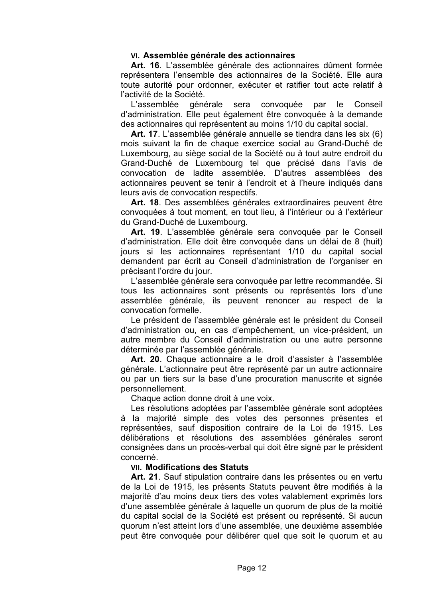## **VI. Assemblée générale des actionnaires**

**Art. 16**. L'assemblée générale des actionnaires dûment formée représentera l'ensemble des actionnaires de la Société. Elle aura toute autorité pour ordonner, exécuter et ratifier tout acte relatif à l'activité de la Société.

L'assemblée générale sera convoquée par le Conseil d'administration. Elle peut également être convoquée à la demande des actionnaires qui représentent au moins 1/10 du capital social.

**Art. 17**. L'assemblée générale annuelle se tiendra dans les six (6) mois suivant la fin de chaque exercice social au Grand-Duché de Luxembourg, au siège social de la Société ou à tout autre endroit du Grand-Duché de Luxembourg tel que précisé dans l'avis de convocation de ladite assemblée. D'autres assemblées des actionnaires peuvent se tenir à l'endroit et à l'heure indiqués dans leurs avis de convocation respectifs.

**Art. 18**. Des assemblées générales extraordinaires peuvent être convoquées à tout moment, en tout lieu, à l'intérieur ou à l'extérieur du Grand-Duché de Luxembourg.

**Art. 19**. L'assemblée générale sera convoquée par le Conseil d'administration. Elle doit être convoquée dans un délai de 8 (huit) jours si les actionnaires représentant 1/10 du capital social demandent par écrit au Conseil d'administration de l'organiser en précisant l'ordre du jour.

L'assemblée générale sera convoquée par lettre recommandée. Si tous les actionnaires sont présents ou représentés lors d'une assemblée générale, ils peuvent renoncer au respect de la convocation formelle.

Le président de l'assemblée générale est le président du Conseil d'administration ou, en cas d'empêchement, un vice-président, un autre membre du Conseil d'administration ou une autre personne déterminée par l'assemblée générale.

**Art. 20**. Chaque actionnaire a le droit d'assister à l'assemblée générale. L'actionnaire peut être représenté par un autre actionnaire ou par un tiers sur la base d'une procuration manuscrite et signée personnellement.

Chaque action donne droit à une voix.

Les résolutions adoptées par l'assemblée générale sont adoptées à la majorité simple des votes des personnes présentes et représentées, sauf disposition contraire de la Loi de 1915. Les délibérations et résolutions des assemblées générales seront consignées dans un procès-verbal qui doit être signé par le président concerné.

## **VII. Modifications des Statuts**

**Art. 21**. Sauf stipulation contraire dans les présentes ou en vertu de la Loi de 1915, les présents Statuts peuvent être modifiés à la majorité d'au moins deux tiers des votes valablement exprimés lors d'une assemblée générale à laquelle un quorum de plus de la moitié du capital social de la Société est présent ou représenté. Si aucun quorum n'est atteint lors d'une assemblée, une deuxième assemblée peut être convoquée pour délibérer quel que soit le quorum et au